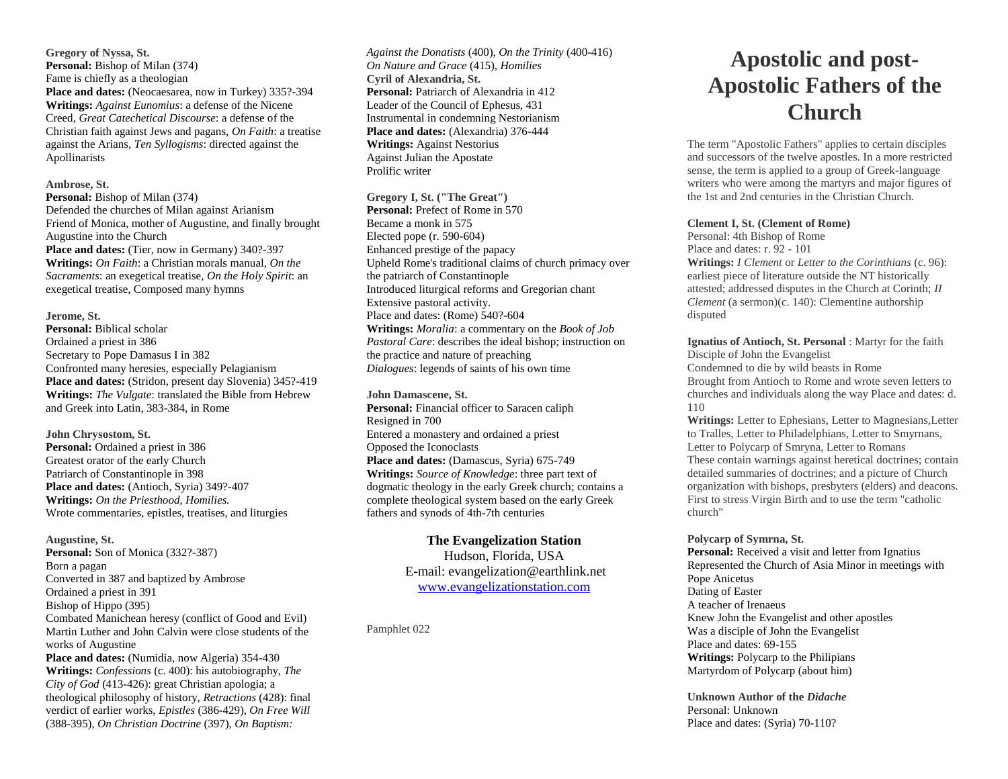**Gregory of Nyssa, St. Personal:** Bishop of Milan (374) Fame is chiefly as a theologian **Place and dates:** (Neocaesarea, now in Turkey) 335?-394 **Writings:** *Against Eunomius*: a defense of the Nicene Creed, *Great Catechetical Discourse*: a defense of the Christian faith against Jews and pagans, *On Faith*: a treatise against the Arians, *Ten Syllogisms*: directed against the Apollinarists

#### **Ambrose, St.**

**Personal:** Bishop of Milan (374) Defended the churches of Milan against Arianism Friend of Monica, mother of Augustine, and finally brought Augustine into the Church Place and dates: (Tier, now in Germany) 340?-397 **Writings:** *On Faith*: a Christian morals manual, *On the Sacraments*: an exegetical treatise, *On the Holy Spirit*: an exegetical treatise, Composed many hymns

#### **Jerome, St.**

**Personal:** Biblical scholar Ordained a priest in 386 Secretary to Pope Damasus I in 382 Confronted many heresies, especially Pelagianism Place and dates: (Stridon, present day Slovenia) 345?-419 **Writings:** *The Vulgate*: translated the Bible from Hebrew and Greek into Latin, 383-384, in Rome

**John Chrysostom, St.** Personal: Ordained a priest in 386 Greatest orator of the early Church Patriarch of Constantinople in 398 **Place and dates:** (Antioch, Syria) 349?-407 **Writings:** *On the Priesthood, Homilies.* Wrote commentaries, epistles, treatises, and liturgies

**Augustine, St.** Personal: Son of Monica (332?-387) Born a pagan Converted in 387 and baptized by Ambrose Ordained a priest in 391 Bishop of Hippo (395) Combated Manichean heresy (conflict of Good and Evil) Martin Luther and John Calvin were close students of the works of Augustine Place and dates: (Numidia, now Algeria) 354-430 **Writings:** *Confessions* (c. 400): his autobiography, *The City of God* (413-426): great Christian apologia; a theological philosophy of history, *Retractions* (428): final verdict of earlier works, *Epistles* (386-429), *On Free Will*

(388-395), *On Christian Doctrine* (397), *On Baptism:* 

*Against the Donatists* (400), *On the Trinity* (400-416) *On Nature and Grace* (415), *Homilies* **Cyril of Alexandria, St.** Personal: Patriarch of Alexandria in 412 Leader of the Council of Ephesus, 431 Instrumental in condemning Nestorianism **Place and dates:** (Alexandria) 376-444 **Writings:** Against Nestorius Against Julian the Apostate Prolific writer

#### **Gregory I, St. ("The Great")**

**Personal:** Prefect of Rome in 570 Became a monk in 575 Elected pope (r. 590-604) Enhanced prestige of the papacy Upheld Rome's traditional claims of church primacy over the patriarch of Constantinople Introduced liturgical reforms and Gregorian chant Extensive pastoral activity. Place and dates: (Rome) 540?-604 **Writings:** *Moralia*: a commentary on the *Book of Job Pastoral Care*: describes the ideal bishop; instruction on the practice and nature of preaching *Dialogues*: legends of saints of his own time

#### **John Damascene, St.**

**Personal:** Financial officer to Saracen caliph Resigned in 700 Entered a monastery and ordained a priest Opposed the Iconoclasts Place and dates: (Damascus, Syria) 675-749 **Writings:** *Source of Knowledge*: three part text of dogmatic theology in the early Greek church; contains a complete theological system based on the early Greek fathers and synods of 4th-7th centuries

> **The Evangelization Station** Hudson, Florida, USA E-mail: evangelization@earthlink.net [www.evangelizationstation.com](http://www.pjpiisoe.org/)

Pamphlet 022

# **Apostolic and post-Apostolic Fathers of the Church**

The term "Apostolic Fathers" applies to certain disciples and successors of the twelve apostles. In a more restricted sense, the term is applied to a group of Greek-language writers who were among the martyrs and major figures of the 1st and 2nd centuries in the Christian Church.

#### **Clement I, St. (Clement of Rome)**

Personal: 4th Bishop of Rome Place and dates: r. 92 - 101 **Writings:** *I Clement* or *Letter to the Corinthians* (c. 96): earliest piece of literature outside the NT historically attested; addressed disputes in the Church at Corinth; *II Clement* (a sermon)(c. 140): Clementine authorship disputed

**Ignatius of Antioch, St. Personal** : Martyr for the faith Disciple of John the Evangelist Condemned to die by wild beasts in Rome Brought from Antioch to Rome and wrote seven letters to churches and individuals along the way Place and dates: d. 110

**Writings:** Letter to Ephesians, Letter to Magnesians,Letter to Tralles, Letter to Philadelphians, Letter to Smyrnans, Letter to Polycarp of Smryna, Letter to Romans These contain warnings against heretical doctrines; contain detailed summaries of doctrines; and a picture of Church organization with bishops, presbyters (elders) and deacons. First to stress Virgin Birth and to use the term "catholic church"

**Polycarp of Symrna, St.** 

Personal: Received a visit and letter from Ignatius Represented the Church of Asia Minor in meetings with Pope Anicetus Dating of Easter A teacher of Irenaeus Knew John the Evangelist and other apostles Was a disciple of John the Evangelist Place and dates: 69-155 **Writings:** Polycarp to the Philipians Martyrdom of Polycarp (about him)

**Unknown Author of the** *Didache* Personal: Unknown Place and dates: (Syria) 70-110?